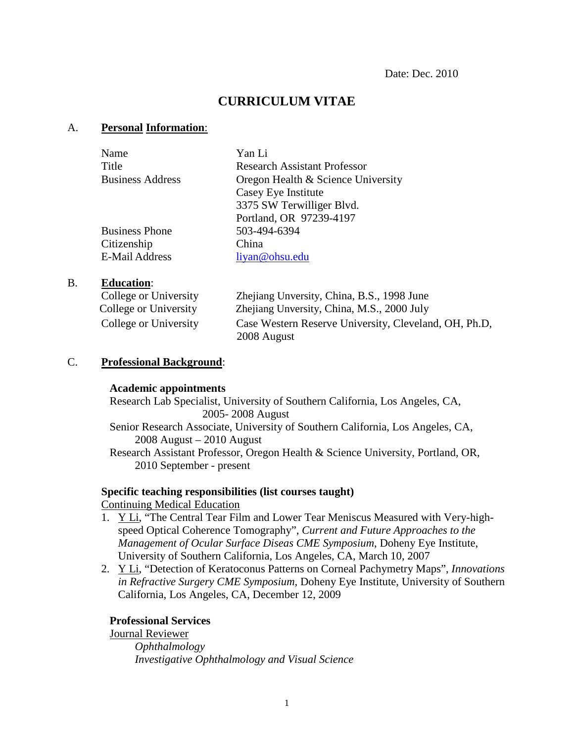# **CURRICULUM VITAE**

### A. **Personal Information**:

| Name                    | Yan Li                             |
|-------------------------|------------------------------------|
| Title                   | Research Assistant Professor       |
| <b>Business Address</b> | Oregon Health & Science University |
|                         | Casey Eye Institute                |
|                         | 3375 SW Terwilliger Blvd.          |
|                         | Portland, OR 97239-4197            |
| <b>Business Phone</b>   | 503-494-6394                       |
| Citizenship             | China                              |
| <b>E-Mail Address</b>   | liyan@ohsu.edu                     |

#### B. **Education** :

| College or University | Zhejiang Unversity, China, B.S., 1998 June            |
|-----------------------|-------------------------------------------------------|
| College or University | Zhejiang Unversity, China, M.S., 2000 July            |
| College or University | Case Western Reserve University, Cleveland, OH, Ph.D. |
|                       | 2008 August                                           |

#### C. **Professional Background**:

#### **Academic appointments**

Research Lab Specialist, University of Southern California, Los Angeles, CA, 2005- 2008 August Senior Research Associate, University of Southern California, Los Angeles, CA, 2008 August – 2010 August Research Assistant Professor, Oregon Health & Science University, Portland, OR, 2010 September - present

# **Specific teaching responsibilities (list courses taught)**

### Continuing Medical Education

- 1. Y Li, "The Central Tear Film and Lower Tear Meniscus Measured with Very-highspeed Optical Coherence Tomography", *Current and Future Approaches to the Management of Ocular Surface Diseas CME Symposium*, Doheny Eye Institute, University of Southern California, Los Angeles, CA, March 10, 2007
- 2. Y Li, "Detection of Keratoconus Patterns on Corneal Pachymetry Maps", *Innovations in Refractive Surgery CME Symposium*, Doheny Eye Institute, University of Southern California, Los Angeles, CA, December 12, 2009

#### **Professional Services**

*Ophthalmology* Journal Reviewer *Investigative Ophthalmology and Visual Science*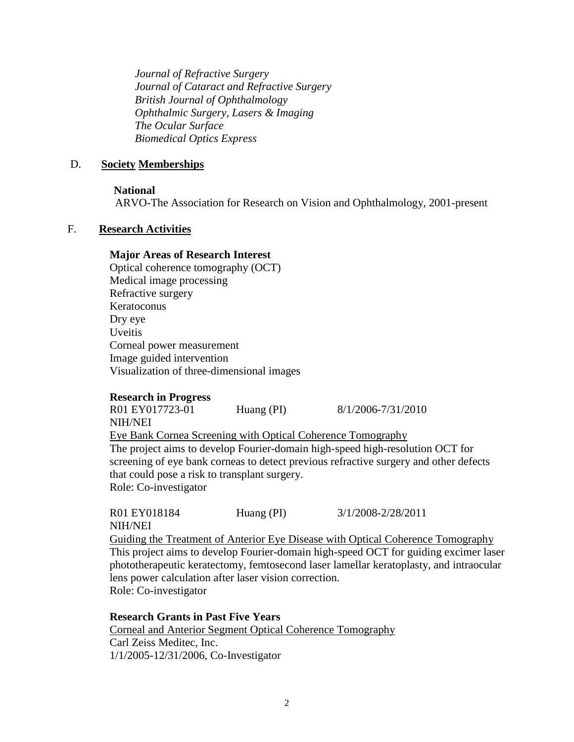*Journal of Refractive Surgery Journal of Cataract and Refractive Surgery British Journal of Ophthalmology Ophthalmic Surgery, Lasers & Imaging The Ocular Surface Biomedical Optics Express*

#### D. **Society Memberships**

#### **National**

ARVO-The Association for Research on Vision and Ophthalmology, 2001-present

### F. **Research Activities**

#### **Major Areas of Research Interest**

Optical coherence tomography (OCT) Medical image processing Refractive surgery Keratoconus Dry eye Uveitis Corneal power measurement Image guided intervention Visualization of three-dimensional images

#### **Research in Progress**

R01 EY017723-01 Huang (PI) 8/1/2006-7/31/2010 NIH/NEI The project aims to develop Fourier-domain high-speed high-resolution OCT for screening of eye bank corneas to detect previous refractive surgery and other defects that could pose a risk to transplant surgery. Eye Bank Cornea Screening with Optical Coherence Tomography Role: Co-investigator

R01 EY018184 Huang (PI) 3/1/2008-2/28/2011 NIH/NEI This project aims to develop Fourier-domain high-speed OCT for guiding excimer laser phototherapeutic keratectomy, femtosecond laser lamellar keratoplasty, and intraocular lens power calculation after laser vision correction. Guiding the Treatment of Anterior Eye Disease with Optical Coherence Tomography Role: Co-investigator

**Research Grants in Past Five Years** Carl Zeiss Meditec, Inc. Corneal and Anterior Segment Optical Coherence Tomography 1/1/2005-12/31/2006, Co-Investigator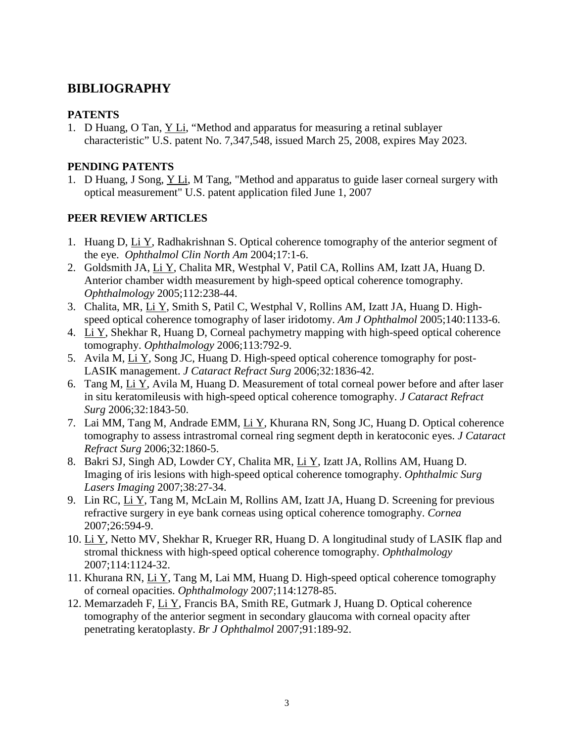# **BIBLIOGRAPHY**

## **PATENTS**

1. D Huang, O Tan, <u>Y Li</u>, "Method and apparatus for measuring a retinal sublayer characteristic" U.S. patent No. 7,347,548, issued March 25, 2008, expires May 2023.

### **PENDING PATENTS**

1. D Huang, J Song, Y Li, M Tang, "Method and apparatus to guide laser corneal surgery with optical measurement" U.S. patent application filed June 1, 2007

### **PEER REVIEW ARTICLES**

- 1. Huang D, Li Y, Radhakrishnan S. Optical coherence tomography of the anterior segment of the eye. *Ophthalmol Clin North Am* 2004;17:1-6.
- 2. Goldsmith JA, Li Y, Chalita MR, Westphal V, Patil CA, Rollins AM, Izatt JA, Huang D. Anterior chamber width measurement by high-speed optical coherence tomography. *Ophthalmology* 2005;112:238-44.
- 3. Chalita, MR, Li Y, Smith S, Patil C, Westphal V, Rollins AM, Izatt JA, Huang D. Highspeed optical coherence tomography of laser iridotomy. *Am J Ophthalmol* 2005;140:1133-6.
- 4. Li Y, Shekhar R, Huang D, Corneal pachymetry mapping with high-speed optical coherence tomography. *Ophthalmology* 2006;113:792-9.
- 5. Avila M, Li Y, Song JC, Huang D. High-speed optical coherence tomography for post-LASIK management. *J Cataract Refract Surg* 2006;32:1836-42.
- 6. Tang M, Li Y, Avila M, Huang D. Measurement of total corneal power before and after laser in situ keratomileusis with high-speed optical coherence tomography. *J Cataract Refract Surg* 2006;32:1843-50.
- 7. Lai MM, Tang M, Andrade EMM, Li Y, Khurana RN, Song JC, Huang D. Optical coherence tomography to assess intrastromal corneal ring segment depth in keratoconic eyes. *J Cataract Refract Surg* 2006;32:1860-5.
- 8. Bakri SJ, Singh AD, Lowder CY, Chalita MR, Li Y, Izatt JA, Rollins AM, Huang D. Imaging of iris lesions with high-speed optical coherence tomography. *Ophthalmic Surg Lasers Imaging* 2007;38:27-34.
- 9. Lin RC, Li Y, Tang M, McLain M, Rollins AM, Izatt JA, Huang D. Screening for previous refractive surgery in eye bank corneas using optical coherence tomography. *Cornea* 2007;26:594-9.
- 10. Li Y, Netto MV, Shekhar R, Krueger RR, Huang D. A longitudinal study of LASIK flap and stromal thickness with high-speed optical coherence tomography. *Ophthalmology* 2007;114:1124-32.
- 11. Khurana RN, Li Y, Tang M, Lai MM, Huang D. High-speed optical coherence tomography of corneal opacities. *Ophthalmology* 2007;114:1278-85.
- 12. Memarzadeh F, Li Y, Francis BA, Smith RE, Gutmark J, Huang D. Optical coherence tomography of the anterior segment in secondary glaucoma with corneal opacity after penetrating keratoplasty. *Br J Ophthalmol* 2007;91:189-92.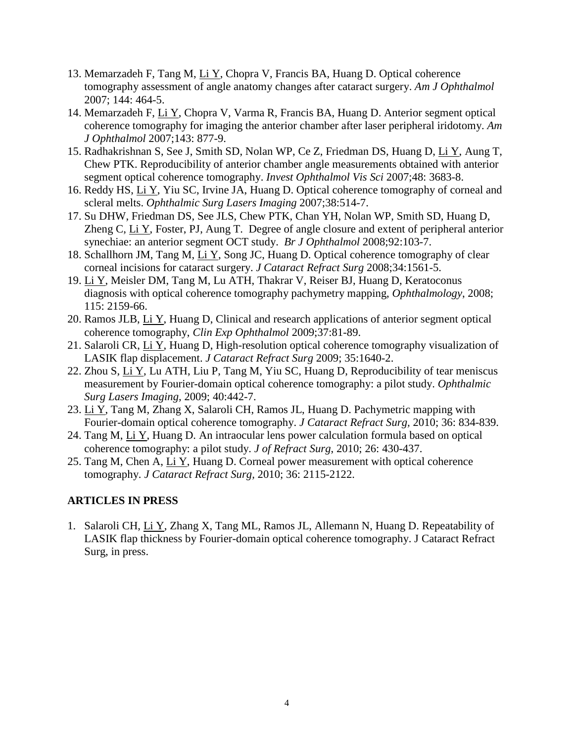- 13. Memarzadeh F, Tang M, Li Y, Chopra V, Francis BA, Huang D. Optical coherence tomography assessment of angle anatomy changes after cataract surgery. *Am J Ophthalmol* 2007; 144: 464-5.
- 14. Memarzadeh F, Li Y, Chopra V, Varma R, Francis BA, Huang D. Anterior segment optical coherence tomography for imaging the anterior chamber after laser peripheral iridotomy. *Am J Ophthalmol* 2007;143: 877-9.
- 15. Radhakrishnan S, See J, Smith SD, Nolan WP, Ce Z, Friedman DS, Huang D, Li Y, Aung T, Chew PTK. Reproducibility of anterior chamber angle measurements obtained with anterior segment optical coherence tomography. *Invest Ophthalmol Vis Sci* 2007;48: 3683-8.
- 16. Reddy HS, Li Y, Yiu SC, Irvine JA, Huang D. Optical coherence tomography of corneal and scleral melts. *Ophthalmic Surg Lasers Imaging* 2007;38:514-7.
- 17. Su DHW, Friedman DS, See JLS, Chew PTK, Chan YH, Nolan WP, Smith SD, Huang D, Zheng C, Li Y, Foster, PJ, Aung T. Degree of angle closure and extent of peripheral anterior synechiae: an anterior segment OCT study. *Br J Ophthalmol* 2008;92:103-7.
- 18. Schallhorn JM, Tang M, Li Y, Song JC, Huang D. Optical coherence tomography of clear corneal incisions for cataract surgery. *J Cataract Refract Surg* 2008;34:1561-5.
- 19. Li Y, Meisler DM, Tang M, Lu ATH, Thakrar V, Reiser BJ, Huang D, Keratoconus diagnosis with optical coherence tomography pachymetry mapping, *Ophthalmology*, 2008; 115: 2159-66.
- 20. Ramos JLB, Li Y, Huang D, Clinical and research applications of anterior segment optical coherence tomography, *Clin Exp Ophthalmol* 2009;37:81-89.
- 21. Salaroli CR, Li Y, Huang D, High-resolution optical coherence tomography visualization of LASIK flap displacement. *J Cataract Refract Surg* 2009; 35:1640-2.
- 22. Zhou S, Li Y, Lu ATH, Liu P, Tang M, Yiu SC, Huang D, Reproducibility of tear meniscus measurement by Fourier-domain optical coherence tomography: a pilot study. *Ophthalmic Surg Lasers Imaging,* 2009; 40:442-7.
- 23. Li Y, Tang M, Zhang X, Salaroli CH, Ramos JL, Huang D. Pachymetric mapping with Fourier-domain optical coherence tomography. *J Cataract Refract Surg,* 2010; 36: 834-839.
- 24. Tang M, Li Y, Huang D. An intraocular lens power calculation formula based on optical coherence tomography: a pilot study. *J of Refract Surg*, 2010; 26: 430-437.
- 25. Tang M, Chen A, Li Y, Huang D. Corneal power measurement with optical coherence tomography. *J Cataract Refract Surg,* 2010; 36: 2115-2122.

### **ARTICLES IN PRESS**

1. Salaroli CH, Li Y, Zhang X, Tang ML, Ramos JL, Allemann N, Huang D. Repeatability of LASIK flap thickness by Fourier-domain optical coherence tomography. J Cataract Refract Surg, in press.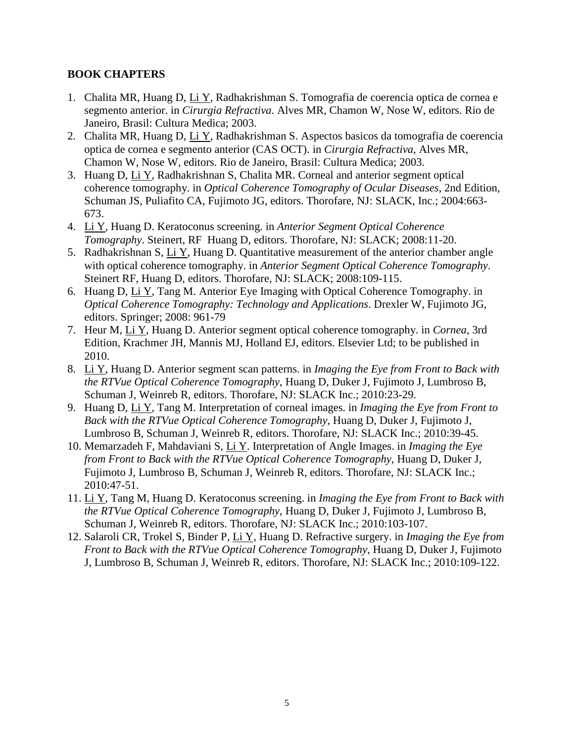## **BOOK CHAPTERS**

- 1. Chalita MR, Huang D, Li Y, Radhakrishman S. Tomografia de coerencia optica de cornea e segmento anterior. in *Cirurgia Refractiva*. Alves MR, Chamon W, Nose W, editors. Rio de Janeiro, Brasil: Cultura Medica; 2003.
- 2. Chalita MR, Huang D, Li Y, Radhakrishman S. Aspectos basicos da tomografia de coerencia optica de cornea e segmento anterior (CAS OCT). in *Cirurgia Refractiva*, Alves MR, Chamon W, Nose W, editors. Rio de Janeiro, Brasil: Cultura Medica; 2003.
- 3. Huang D, Li Y, Radhakrishnan S, Chalita MR. Corneal and anterior segment optical coherence tomography. in *Optical Coherence Tomography of Ocular Diseases*, 2nd Edition, Schuman JS, Puliafito CA, Fujimoto JG, editors. Thorofare, NJ: SLACK, Inc.; 2004:663- 673.
- 4. Li Y , Huang D. Keratoconus screening. in *Anterior Segment Optical Coherence Tomography*. Steinert, RF Huang D, editors. Thorofare, NJ: SLACK; 2008:11-20.
- 5. Radhakrishnan S, Li Y, Huang D. Quantitative measurement of the anterior chamber angle with optical coherence tomography. in *Anterior Segment Optical Coherence Tomography*. Steinert RF, Huang D, editors. Thorofare, NJ: SLACK; 2008:109-115.
- 6. Huang D, Li Y, Tang M. Anterior Eye Imaging with Optical Coherence Tomography. in *Optical Coherence Tomography: Technology and Applications*. Drexler W, Fujimoto JG, editors. Springer; 2008: 961-79
- 7. Heur M, Li Y , Huang D. Anterior segment optical coherence tomography. in *Cornea*, 3rd Edition, Krachmer JH, Mannis MJ, Holland EJ, editors. Elsevier Ltd; to be published in 2010.
- 8. Li Y , Huang D. Anterior segment scan patterns. in *Imaging the Eye from Front to Back with the RTVue Optical Coherence Tomography*, Huang D, Duker J, Fujimoto J, Lumbroso B, Schuman J, Weinreb R, editors. Thorofare, NJ: SLACK Inc.; 2010:23-29.
- 9. Huang D, Li Y , Tang M. Interpretation of corneal images. in *Imaging the Eye from Front to Back with the RTVue Optical Coherence Tomography*, Huang D, Duker J, Fujimoto J, Lumbroso B, Schuman J, Weinreb R, editors. Thorofare, NJ: SLACK Inc.; 2010:39-45.
- 10. Memarzadeh F, Mahdaviani S, Li Y . Interpretation of Angle Images. in *Imaging the Eye from Front to Back with the RTVue Optical Coherence Tomography*, Huang D, Duker J, Fujimoto J, Lumbroso B, Schuman J, Weinreb R, editors. Thorofare, NJ: SLACK Inc.; 2010:47-51.
- 11. Li Y , Tang M, Huang D. Keratoconus screening. in *Imaging the Eye from Front to Back with the RTVue Optical Coherence Tomography*, Huang D, Duker J, Fujimoto J, Lumbroso B, Schuman J, Weinreb R, editors. Thorofare, NJ: SLACK Inc.; 2010:103-107.
- 12. Salaroli CR, Trokel S, Binder P, Li Y, Huang D. Refractive surgery. in *Imaging the Eye from Front to Back with the RTVue Optical Coherence Tomography*, Huang D, Duker J, Fujimoto J, Lumbroso B, Schuman J, Weinreb R, editors. Thorofare, NJ: SLACK Inc.; 2010:109-122.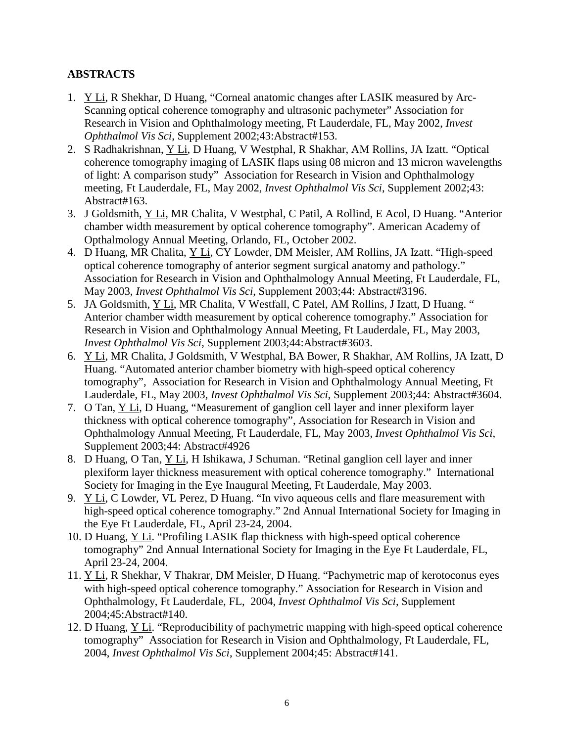## **ABSTRACTS**

- 1. Y Li, R Shekhar, D Huang, "Corneal anatomic changes after LASIK measured by Arc-Scanning optical coherence tomography and ultrasonic pachymeter" Association for Research in Vision and Ophthalmology meeting, Ft Lauderdale, FL, May 2002, *Invest Ophthalmol Vis Sci*, Supplement 2002;43:Abstract#153.
- 2. S Radhakrishnan, Y Li, D Huang, V Westphal, R Shakhar, AM Rollins, JA Izatt. "Optical coherence tomography imaging of LASIK flaps using 08 micron and 13 micron wavelengths of light: A comparison study" Association for Research in Vision and Ophthalmology meeting, Ft Lauderdale, FL, May 2002, *Invest Ophthalmol Vis Sci*, Supplement 2002;43: Abstract#163.
- 3. J Goldsmith, **Y Li**, MR Chalita, V Westphal, C Patil, A Rollind, E Acol, D Huang. "Anterior chamber width measurement by optical coherence tomography". American Academy of Opthalmology Annual Meeting*,* Orlando, FL, October 2002.
- 4. D Huang, MR Chalita, *Y Li*, CY Lowder, DM Meisler, AM Rollins, JA Izatt. "High-speed optical coherence tomography of anterior segment surgical anatomy and pathology." Association for Research in Vision and Ophthalmology Annual Meeting, Ft Lauderdale, FL, May 2003, *Invest Ophthalmol Vis Sci*, Supplement 2003;44: Abstract#3196.
- 5. JA Goldsmith, YLi, MR Chalita, V Westfall, C Patel, AM Rollins, J Izatt, D Huang. " Anterior chamber width measurement by optical coherence tomography." Association for Research in Vision and Ophthalmology Annual Meeting, Ft Lauderdale, FL, May 2003, *Invest Ophthalmol Vis Sci*, Supplement 2003;44:Abstract#3603.
- 6. Y Li, MR Chalita, J Goldsmith, V Westphal, BA Bower, R Shakhar, AM Rollins, JA Izatt, D Huang. "Automated anterior chamber biometry with high-speed optical coherency tomography", Association for Research in Vision and Ophthalmology Annual Meeting, Ft Lauderdale, FL, May 2003, *Invest Ophthalmol Vis Sci*, Supplement 2003;44: Abstract#3604.
- 7. O Tan, Y Li, D Huang, "Measurement of ganglion cell layer and inner plexiform layer thickness with optical coherence tomography", Association for Research in Vision and Ophthalmology Annual Meeting, Ft Lauderdale, FL, May 2003, *Invest Ophthalmol Vis Sci*, Supplement 2003;44: Abstract#4926
- 8. D Huang, O Tan, Y Li, H Ishikawa, J Schuman. "Retinal ganglion cell layer and inner plexiform layer thickness measurement with optical coherence tomography." International Society for Imaging in the Eye Inaugural Meeting, Ft Lauderdale, May 2003.
- 9. Y Li, C Lowder, VL Perez, D Huang. "In vivo aqueous cells and flare measurement with high-speed optical coherence tomography." 2nd Annual International Society for Imaging in the Eye Ft Lauderdale, FL, April 23-24, 2004.
- 10. D Huang, **Y Li.** "Profiling LASIK flap thickness with high-speed optical coherence tomography" 2nd Annual International Society for Imaging in the Eye Ft Lauderdale, FL, April 23-24, 2004.
- 11. Y Li, R Shekhar, V Thakrar, DM Meisler, D Huang. "Pachymetric map of kerotoconus eyes with high-speed optical coherence tomography." Association for Research in Vision and Ophthalmology, Ft Lauderdale, FL, 2004, *Invest Ophthalmol Vis Sci*, Supplement 2004;45:Abstract#140.
- 12. D Huang, **Y Li.** "Reproducibility of pachymetric mapping with high-speed optical coherence tomography" Association for Research in Vision and Ophthalmology, Ft Lauderdale, FL, 2004, *Invest Ophthalmol Vis Sci*, Supplement 2004;45: Abstract#141.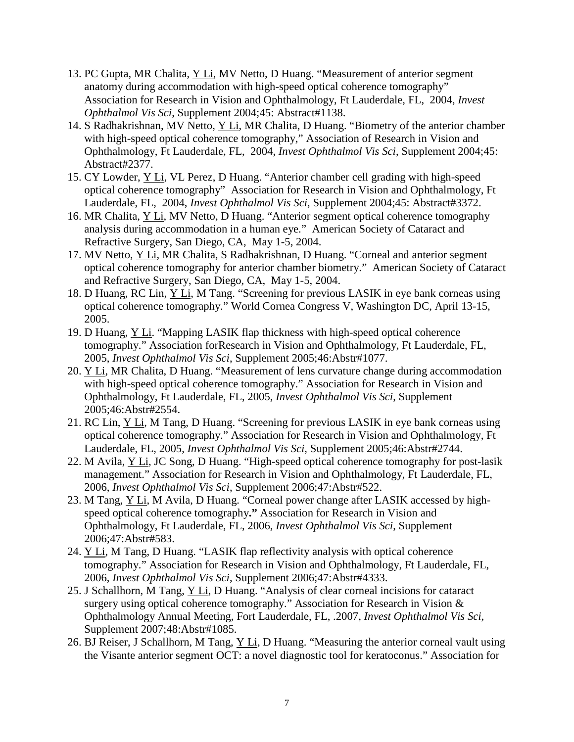- 13. PC Gupta, MR Chalita, *Y Li*, MV Netto, D Huang. "Measurement of anterior segment anatomy during accommodation with high-speed optical coherence tomography" Association for Research in Vision and Ophthalmology, Ft Lauderdale, FL, 2004, *Invest Ophthalmol Vis Sci*, Supplement 2004;45: Abstract#1138.
- 14. S Radhakrishnan, MV Netto,  $Y Li$ , MR Chalita, D Huang. "Biometry of the anterior chamber with high-speed optical coherence tomography," Association of Research in Vision and Ophthalmology, Ft Lauderdale, FL, 2004, *Invest Ophthalmol Vis Sci*, Supplement 2004;45: Abstract#2377.
- 15. CY Lowder, *Y Li*, VL Perez, D Huang. "Anterior chamber cell grading with high-speed optical coherence tomography" Association for Research in Vision and Ophthalmology, Ft Lauderdale, FL, 2004, *Invest Ophthalmol Vis Sci*, Supplement 2004;45: Abstract#3372.
- 16. MR Chalita, **Y Li**, MV Netto, D Huang. "Anterior segment optical coherence tomography analysis during accommodation in a human eye." American Society of Cataract and Refractive Surgery, San Diego, CA, May 1-5, 2004.
- 17. MV Netto, *Y Li*, MR Chalita, S Radhakrishnan, D Huang. "Corneal and anterior segment optical coherence tomography for anterior chamber biometry." American Society of Cataract and Refractive Surgery, San Diego, CA, May 1-5, 2004.
- 18. D Huang, RC Lin, Y Li, M Tang. "Screening for previous LASIK in eye bank corneas using optical coherence tomography." World Cornea Congress V, Washington DC, April 13-15, 2005.
- 19. D Huang, **Y Li.** "Mapping LASIK flap thickness with high-speed optical coherence tomography." Association forResearch in Vision and Ophthalmology, Ft Lauderdale, FL, 2005, *Invest Ophthalmol Vis Sci*, Supplement 2005;46:Abstr#1077.
- 20. Y Li, MR Chalita, D Huang. "Measurement of lens curvature change during accommodation with high-speed optical coherence tomography." Association for Research in Vision and Ophthalmology, Ft Lauderdale, FL, 2005, *Invest Ophthalmol Vis Sci*, Supplement 2005;46:Abstr#2554.
- 21. RC Lin, *Y Li*, M Tang, D Huang. "Screening for previous LASIK in eye bank corneas using optical coherence tomography." Association for Research in Vision and Ophthalmology, Ft Lauderdale, FL, 2005, *Invest Ophthalmol Vis Sci*, Supplement 2005;46:Abstr#2744.
- 22. M Avila, *Y Li*, JC Song, D Huang. "High-speed optical coherence tomography for post-lasik management." Association for Research in Vision and Ophthalmology, Ft Lauderdale, FL, 2006, *Invest Ophthalmol Vis Sci*, Supplement 2006;47:Abstr#522.
- 23. M Tang, *Y Li*, M Avila, D Huang. "Corneal power change after LASIK accessed by highspeed optical coherence tomography**."** Association for Research in Vision and Ophthalmology, Ft Lauderdale, FL, 2006, *Invest Ophthalmol Vis Sci*, Supplement 2006;47:Abstr#583.
- 24. Y Li, M Tang, D Huang. "LASIK flap reflectivity analysis with optical coherence tomography." Association for Research in Vision and Ophthalmology, Ft Lauderdale, FL, 2006, *Invest Ophthalmol Vis Sci*, Supplement 2006;47:Abstr#4333.
- 25. J Schallhorn, M Tang, Y Li, D Huang. "Analysis of clear corneal incisions for cataract surgery using optical coherence tomography." Association for Research in Vision & Ophthalmology Annual Meeting, Fort Lauderdale, FL, .2007, *Invest Ophthalmol Vis Sci*, Supplement 2007;48:Abstr#1085.
- 26. BJ Reiser, J Schallhorn, M Tang, Y Li, D Huang. "Measuring the anterior corneal vault using the Visante anterior segment OCT: a novel diagnostic tool for keratoconus." Association for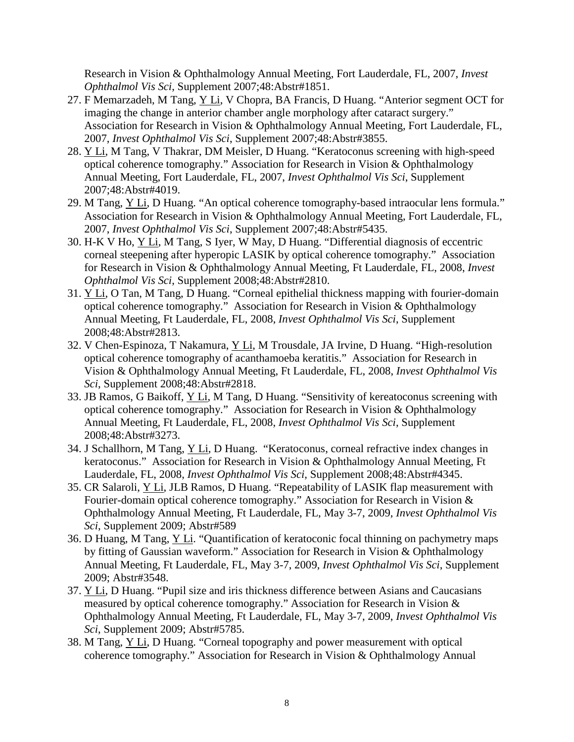Research in Vision & Ophthalmology Annual Meeting, Fort Lauderdale, FL, 2007, *Invest Ophthalmol Vis Sci*, Supplement 2007;48:Abstr#1851.

- 27. F Memarzadeh, M Tang, Y Li, V Chopra, BA Francis, D Huang. "Anterior segment OCT for imaging the change in anterior chamber angle morphology after cataract surgery." Association for Research in Vision & Ophthalmology Annual Meeting, Fort Lauderdale, FL, 2007, *Invest Ophthalmol Vis Sci*, Supplement 2007;48:Abstr#3855.
- 28. Y Li, M Tang, V Thakrar, DM Meisler, D Huang. "Keratoconus screening with high-speed optical coherence tomography." Association for Research in Vision & Ophthalmology Annual Meeting, Fort Lauderdale, FL, 2007, *Invest Ophthalmol Vis Sci*, Supplement 2007;48:Abstr#4019.
- 29. M Tang, *Y Li*, D Huang. "An optical coherence tomography-based intraocular lens formula." Association for Research in Vision & Ophthalmology Annual Meeting, Fort Lauderdale, FL, 2007, *Invest Ophthalmol Vis Sci*, Supplement 2007;48:Abstr#5435.
- 30. H-K V Ho, Y Li, M Tang, S Iyer, W May, D Huang. "Differential diagnosis of eccentric corneal steepening after hyperopic LASIK by optical coherence tomography." Association for Research in Vision & Ophthalmology Annual Meeting, Ft Lauderdale, FL, 2008, *Invest Ophthalmol Vis Sci*, Supplement 2008;48:Abstr#2810.
- 31. Y Li, O Tan, M Tang, D Huang. "Corneal epithelial thickness mapping with fourier-domain optical coherence tomography." Association for Research in Vision & Ophthalmology Annual Meeting, Ft Lauderdale, FL, 2008, *Invest Ophthalmol Vis Sci*, Supplement 2008;48:Abstr#2813.
- 32. V Chen-Espinoza, T Nakamura, *Y Li*, M Trousdale, JA Irvine, D Huang. "High-resolution optical coherence tomography of acanthamoeba keratitis." Association for Research in Vision & Ophthalmology Annual Meeting, Ft Lauderdale, FL, 2008, *Invest Ophthalmol Vis Sci*, Supplement 2008;48:Abstr#2818.
- 33. JB Ramos, G Baikoff, *Y Li*, M Tang, D Huang. "Sensitivity of kereatoconus screening with optical coherence tomography." Association for Research in Vision & Ophthalmology Annual Meeting, Ft Lauderdale, FL, 2008, *Invest Ophthalmol Vis Sci*, Supplement 2008;48:Abstr#3273.
- 34. J Schallhorn, M Tang, Y Li, D Huang. "Keratoconus, corneal refractive index changes in keratoconus." Association for Research in Vision & Ophthalmology Annual Meeting, Ft Lauderdale, FL, 2008, *Invest Ophthalmol Vis Sci*, Supplement 2008;48:Abstr#4345.
- 35. CR Salaroli, *Y Li*, JLB Ramos, D Huang. "Repeatability of LASIK flap measurement with Fourier-domain optical coherence tomography." Association for Research in Vision & Ophthalmology Annual Meeting, Ft Lauderdale, FL, May 3-7, 2009, *Invest Ophthalmol Vis Sci*, Supplement 2009; Abstr#589
- 36. D Huang, M Tang, **Y Li.** "Quantification of keratoconic focal thinning on pachymetry maps by fitting of Gaussian waveform." Association for Research in Vision & Ophthalmology Annual Meeting, Ft Lauderdale, FL, May 3-7, 2009, *Invest Ophthalmol Vis Sci*, Supplement 2009; Abstr#3548.
- 37. Y Li, D Huang. "Pupil size and iris thickness difference between Asians and Caucasians measured by optical coherence tomography." Association for Research in Vision & Ophthalmology Annual Meeting, Ft Lauderdale, FL, May 3-7, 2009, *Invest Ophthalmol Vis Sci*, Supplement 2009; Abstr#5785.
- 38. M Tang, **Y Li**, D Huang. "Corneal topography and power measurement with optical coherence tomography." Association for Research in Vision & Ophthalmology Annual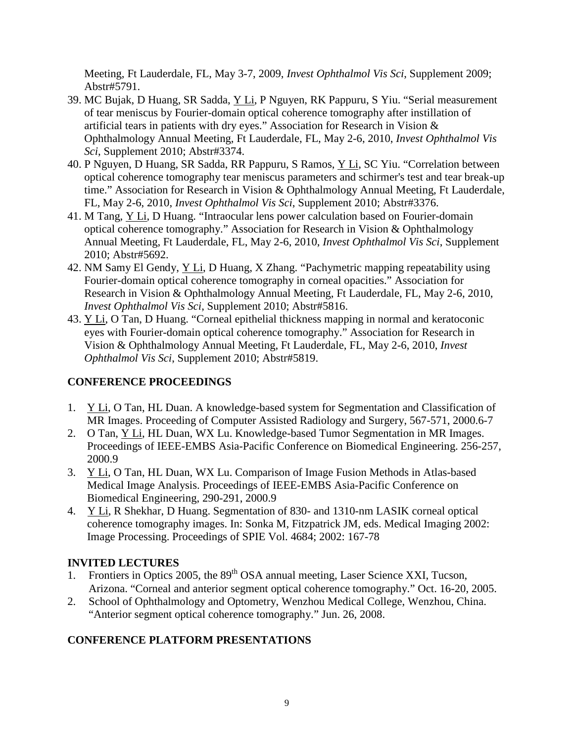Meeting, Ft Lauderdale, FL, May 3-7, 2009, *Invest Ophthalmol Vis Sci*, Supplement 2009; Abstr#5791.

- 39. MC Bujak, D Huang, SR Sadda, Y Li, P Nguyen, RK Pappuru, S Yiu. "Serial measurement of tear meniscus by Fourier-domain optical coherence tomography after instillation of artificial tears in patients with dry eyes." Association for Research in Vision & Ophthalmology Annual Meeting, Ft Lauderdale, FL, May 2-6, 2010, *Invest Ophthalmol Vis Sci*, Supplement 2010; Abstr#3374.
- 40. P Nguyen, D Huang, SR Sadda, RR Pappuru, S Ramos, Y Li, SC Yiu. "Correlation between optical coherence tomography tear meniscus parameters and schirmer's test and tear break-up time." Association for Research in Vision & Ophthalmology Annual Meeting, Ft Lauderdale, FL, May 2-6, 2010, *Invest Ophthalmol Vis Sci*, Supplement 2010; Abstr#3376.
- 41. M Tang, *Y Li*, D Huang. "Intraocular lens power calculation based on Fourier-domain optical coherence tomography." Association for Research in Vision & Ophthalmology Annual Meeting, Ft Lauderdale, FL, May 2-6, 2010, *Invest Ophthalmol Vis Sci*, Supplement 2010; Abstr#5692.
- 42. NM Samy El Gendy, *Y Li*, D Huang, X Zhang. "Pachymetric mapping repeatability using Fourier-domain optical coherence tomography in corneal opacities." Association for Research in Vision & Ophthalmology Annual Meeting, Ft Lauderdale, FL, May 2-6, 2010, *Invest Ophthalmol Vis Sci*, Supplement 2010; Abstr#5816.
- 43. Y Li, O Tan, D Huang. "Corneal epithelial thickness mapping in normal and keratoconic eyes with Fourier-domain optical coherence tomography." Association for Research in Vision & Ophthalmology Annual Meeting, Ft Lauderdale, FL, May 2-6, 2010, *Invest Ophthalmol Vis Sci*, Supplement 2010; Abstr#5819.

## **CONFERENCE PROCEEDINGS**

- 1. Y Li, O Tan, HL Duan. A knowledge-based system for Segmentation and Classification of MR Images. Proceeding of Computer Assisted Radiology and Surgery, 567-571, 2000.6-7
- 2. O Tan, Y Li, HL Duan, WX Lu. Knowledge-based Tumor Segmentation in MR Images. Proceedings of IEEE-EMBS Asia-Pacific Conference on Biomedical Engineering. 256-257, 2000.9
- 3. Y Li, O Tan, HL Duan, WX Lu. Comparison of Image Fusion Methods in Atlas-based Medical Image Analysis. Proceedings of IEEE-EMBS Asia-Pacific Conference on Biomedical Engineering, 290-291, 2000.9
- 4. Y Li, R Shekhar, D Huang. Segmentation of 830- and 1310-nm LASIK corneal optical coherence tomography images. In: Sonka M, Fitzpatrick JM, eds. Medical Imaging 2002: Image Processing. Proceedings of SPIE Vol. 4684; 2002: 167-78

## **INVITED LECTURES**

- 1. Frontiers in Optics 2005, the 89<sup>th</sup> OSA annual meeting, Laser Science XXI, Tucson, Arizona. "Corneal and anterior segment optical coherence tomography." Oct. 16-20, 2005.
- 2. School of Ophthalmology and Optometry, Wenzhou Medical College, Wenzhou, China. "Anterior segment optical coherence tomography." Jun. 26, 2008.

## **CONFERENCE PLATFORM PRESENTATIONS**